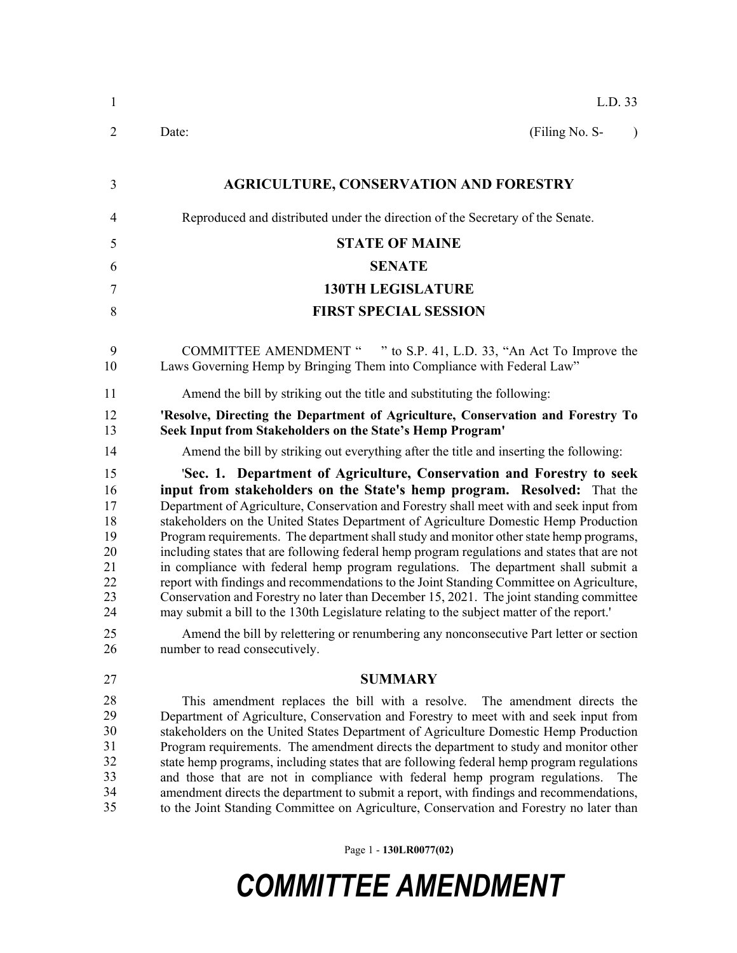| L.D. 33                                                                                                                                                                                                                                                                                                                                                                                                                                                                                                                                                                                                                                                                                                                                                                                                                                                                                                                                                                                             |
|-----------------------------------------------------------------------------------------------------------------------------------------------------------------------------------------------------------------------------------------------------------------------------------------------------------------------------------------------------------------------------------------------------------------------------------------------------------------------------------------------------------------------------------------------------------------------------------------------------------------------------------------------------------------------------------------------------------------------------------------------------------------------------------------------------------------------------------------------------------------------------------------------------------------------------------------------------------------------------------------------------|
| (Filing No. S-<br>Date:<br>$\lambda$                                                                                                                                                                                                                                                                                                                                                                                                                                                                                                                                                                                                                                                                                                                                                                                                                                                                                                                                                                |
| <b>AGRICULTURE, CONSERVATION AND FORESTRY</b>                                                                                                                                                                                                                                                                                                                                                                                                                                                                                                                                                                                                                                                                                                                                                                                                                                                                                                                                                       |
| Reproduced and distributed under the direction of the Secretary of the Senate.                                                                                                                                                                                                                                                                                                                                                                                                                                                                                                                                                                                                                                                                                                                                                                                                                                                                                                                      |
| <b>STATE OF MAINE</b>                                                                                                                                                                                                                                                                                                                                                                                                                                                                                                                                                                                                                                                                                                                                                                                                                                                                                                                                                                               |
| <b>SENATE</b>                                                                                                                                                                                                                                                                                                                                                                                                                                                                                                                                                                                                                                                                                                                                                                                                                                                                                                                                                                                       |
| <b>130TH LEGISLATURE</b>                                                                                                                                                                                                                                                                                                                                                                                                                                                                                                                                                                                                                                                                                                                                                                                                                                                                                                                                                                            |
|                                                                                                                                                                                                                                                                                                                                                                                                                                                                                                                                                                                                                                                                                                                                                                                                                                                                                                                                                                                                     |
| <b>FIRST SPECIAL SESSION</b>                                                                                                                                                                                                                                                                                                                                                                                                                                                                                                                                                                                                                                                                                                                                                                                                                                                                                                                                                                        |
| COMMITTEE AMENDMENT " " to S.P. 41, L.D. 33, "An Act To Improve the<br>Laws Governing Hemp by Bringing Them into Compliance with Federal Law"                                                                                                                                                                                                                                                                                                                                                                                                                                                                                                                                                                                                                                                                                                                                                                                                                                                       |
| Amend the bill by striking out the title and substituting the following:                                                                                                                                                                                                                                                                                                                                                                                                                                                                                                                                                                                                                                                                                                                                                                                                                                                                                                                            |
| 'Resolve, Directing the Department of Agriculture, Conservation and Forestry To<br>Seek Input from Stakeholders on the State's Hemp Program'                                                                                                                                                                                                                                                                                                                                                                                                                                                                                                                                                                                                                                                                                                                                                                                                                                                        |
| Amend the bill by striking out everything after the title and inserting the following:                                                                                                                                                                                                                                                                                                                                                                                                                                                                                                                                                                                                                                                                                                                                                                                                                                                                                                              |
| 'Sec. 1. Department of Agriculture, Conservation and Forestry to seek<br>input from stakeholders on the State's hemp program. Resolved: That the<br>Department of Agriculture, Conservation and Forestry shall meet with and seek input from<br>stakeholders on the United States Department of Agriculture Domestic Hemp Production<br>Program requirements. The department shall study and monitor other state hemp programs,<br>including states that are following federal hemp program regulations and states that are not<br>in compliance with federal hemp program regulations. The department shall submit a<br>report with findings and recommendations to the Joint Standing Committee on Agriculture,<br>Conservation and Forestry no later than December 15, 2021. The joint standing committee<br>may submit a bill to the 130th Legislature relating to the subject matter of the report."<br>Amend the bill by relettering or renumbering any nonconsecutive Part letter or section |
| number to read consecutively.                                                                                                                                                                                                                                                                                                                                                                                                                                                                                                                                                                                                                                                                                                                                                                                                                                                                                                                                                                       |
| <b>SUMMARY</b>                                                                                                                                                                                                                                                                                                                                                                                                                                                                                                                                                                                                                                                                                                                                                                                                                                                                                                                                                                                      |
| This amendment replaces the bill with a resolve. The amendment directs the<br>Department of Agriculture, Conservation and Forestry to meet with and seek input from<br>stakeholders on the United States Department of Agriculture Domestic Hemp Production<br>Program requirements. The amendment directs the department to study and monitor other<br>state hemp programs, including states that are following federal hemp program regulations<br>and those that are not in compliance with federal hemp program regulations.<br>The<br>amendment directs the department to submit a report, with findings and recommendations,<br>to the Joint Standing Committee on Agriculture, Conservation and Forestry no later than                                                                                                                                                                                                                                                                       |
|                                                                                                                                                                                                                                                                                                                                                                                                                                                                                                                                                                                                                                                                                                                                                                                                                                                                                                                                                                                                     |

Page 1 - **130LR0077(02)**

## *COMMITTEE AMENDMENT*